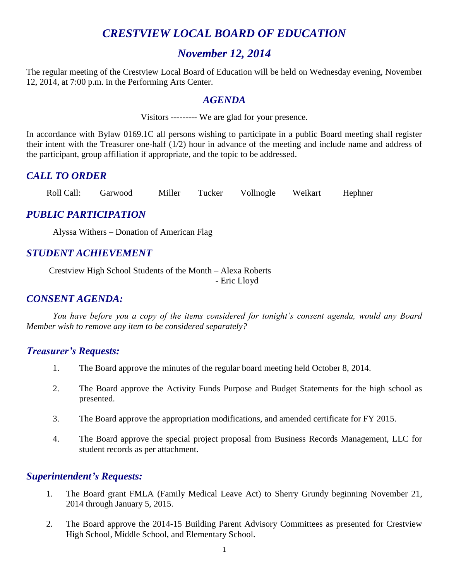# *CRESTVIEW LOCAL BOARD OF EDUCATION*

# *November 12, 2014*

The regular meeting of the Crestview Local Board of Education will be held on Wednesday evening, November 12, 2014, at 7:00 p.m. in the Performing Arts Center.

#### *AGENDA*

Visitors --------- We are glad for your presence.

In accordance with Bylaw 0169.1C all persons wishing to participate in a public Board meeting shall register their intent with the Treasurer one-half (1/2) hour in advance of the meeting and include name and address of the participant, group affiliation if appropriate, and the topic to be addressed.

### *CALL TO ORDER*

Roll Call: Garwood Miller Tucker Vollnogle Weikart Hephner

### *PUBLIC PARTICIPATION*

Alyssa Withers – Donation of American Flag

# *STUDENT ACHIEVEMENT*

Crestview High School Students of the Month – Alexa Roberts - Eric Lloyd

### *CONSENT AGENDA:*

*You have before you a copy of the items considered for tonight's consent agenda, would any Board Member wish to remove any item to be considered separately?*

#### *Treasurer's Requests:*

- 1. The Board approve the minutes of the regular board meeting held October 8, 2014.
- 2. The Board approve the Activity Funds Purpose and Budget Statements for the high school as presented.
- 3. The Board approve the appropriation modifications, and amended certificate for FY 2015.
- 4. The Board approve the special project proposal from Business Records Management, LLC for student records as per attachment.

#### *Superintendent's Requests:*

- 1. The Board grant FMLA (Family Medical Leave Act) to Sherry Grundy beginning November 21, 2014 through January 5, 2015.
- 2. The Board approve the 2014-15 Building Parent Advisory Committees as presented for Crestview High School, Middle School, and Elementary School.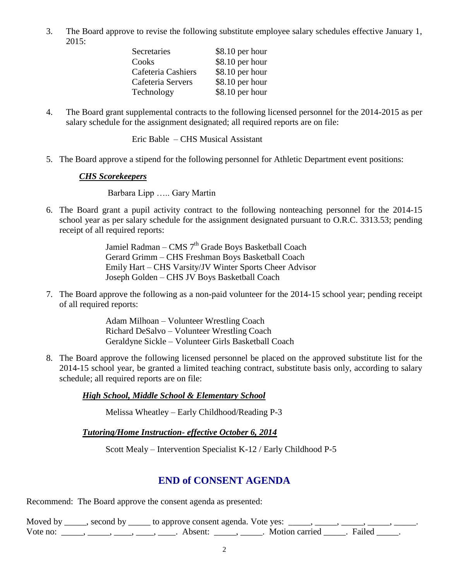3. The Board approve to revise the following substitute employee salary schedules effective January 1, 2015:

| Secretaries        | $$8.10$ per hour |
|--------------------|------------------|
| Cooks              | \$8.10 per hour  |
| Cafeteria Cashiers | \$8.10 per hour  |
| Cafeteria Servers  | \$8.10 per hour  |
| Technology         | \$8.10 per hour  |

4. The Board grant supplemental contracts to the following licensed personnel for the 2014-2015 as per salary schedule for the assignment designated; all required reports are on file:

Eric Bable – CHS Musical Assistant

5. The Board approve a stipend for the following personnel for Athletic Department event positions:

#### *CHS Scorekeepers*

Barbara Lipp ….. Gary Martin

6. The Board grant a pupil activity contract to the following nonteaching personnel for the 2014-15 school year as per salary schedule for the assignment designated pursuant to O.R.C. 3313.53; pending receipt of all required reports:

> Jamiel Radman – CMS  $7<sup>th</sup>$  Grade Boys Basketball Coach Gerard Grimm – CHS Freshman Boys Basketball Coach Emily Hart – CHS Varsity/JV Winter Sports Cheer Advisor Joseph Golden – CHS JV Boys Basketball Coach

7. The Board approve the following as a non-paid volunteer for the 2014-15 school year; pending receipt of all required reports:

> Adam Milhoan – Volunteer Wrestling Coach Richard DeSalvo – Volunteer Wrestling Coach Geraldyne Sickle – Volunteer Girls Basketball Coach

8. The Board approve the following licensed personnel be placed on the approved substitute list for the 2014-15 school year, be granted a limited teaching contract, substitute basis only, according to salary schedule; all required reports are on file:

#### *High School, Middle School & Elementary School*

Melissa Wheatley – Early Childhood/Reading P-3

*Tutoring/Home Instruction- effective October 6, 2014*

Scott Mealy – Intervention Specialist K-12 / Early Childhood P-5

# **END of CONSENT AGENDA**

Recommend: The Board approve the consent agenda as presented:

Moved by \_\_\_\_, second by \_\_\_\_\_ to approve consent agenda. Vote yes: \_\_\_\_, \_\_\_\_, \_\_\_\_ Vote no: \_\_\_\_\_, \_\_\_\_, \_\_\_\_, \_\_\_\_, Absent: \_\_\_\_, \_\_\_\_. Motion carried \_\_\_\_\_. Failed \_\_\_\_\_.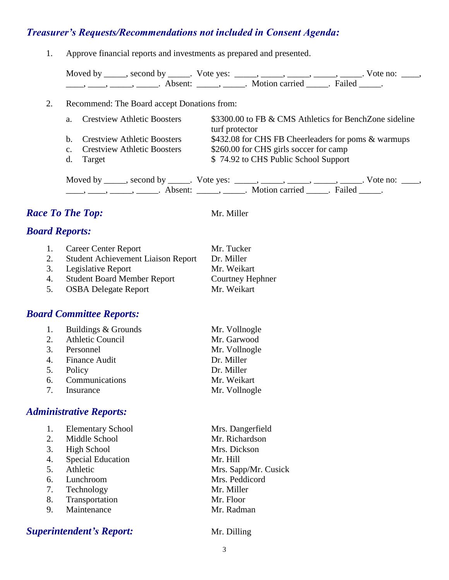# *Treasurer's Requests/Recommendations not included in Consent Agenda:*

1. Approve financial reports and investments as prepared and presented.

| Moved by second by |         | $\frac{1}{2}$ . Vote yes: |                  |        | Vote no: |  |
|--------------------|---------|---------------------------|------------------|--------|----------|--|
|                    | Absent: |                           | . Motion carried | Failed |          |  |

#### 2. Recommend: The Board accept Donations from:

| $a_{-}$ | <b>Crestview Athletic Boosters</b> | \$3300.00 to FB & CMS Athletics for BenchZone sideline                                       |
|---------|------------------------------------|----------------------------------------------------------------------------------------------|
|         |                                    | turf protector                                                                               |
|         | b. Crestview Athletic Boosters     | \$432.08 for CHS FB Cheerleaders for poms & warmups                                          |
|         | c. Crestview Athletic Boosters     | \$260.00 for CHS girls soccer for camp                                                       |
|         | d. Target                          | \$74.92 to CHS Public School Support                                                         |
|         |                                    | Moved by _____, second by _____. Vote yes: _____, _____, _____, _____, _____. Vote no: ____, |

 $\frac{1}{\sqrt{2\pi}}$ ,  $\frac{1}{\sqrt{2\pi}}$ ,  $\frac{1}{\sqrt{2\pi}}$ ,  $\frac{1}{\sqrt{2\pi}}$ ,  $\frac{1}{\sqrt{2\pi}}$ ,  $\frac{1}{\sqrt{2\pi}}$ ,  $\frac{1}{\sqrt{2\pi}}$ ,  $\frac{1}{\sqrt{2\pi}}$ ,  $\frac{1}{\sqrt{2\pi}}$ ,  $\frac{1}{\sqrt{2\pi}}$ ,  $\frac{1}{\sqrt{2\pi}}$ ,  $\frac{1}{\sqrt{2\pi}}$ ,  $\frac{1}{\sqrt{2\pi}}$ ,  $\frac{1}{\sqrt{2\pi}}$ 

### *Race To The Top:* Mr. Miller

# *Board Reports:*

|    | 1. Career Center Report                   | Mr. Tucker       |
|----|-------------------------------------------|------------------|
| 2. | <b>Student Achievement Liaison Report</b> | Dr. Miller       |
|    | 3. Legislative Report                     | Mr. Weikart      |
| 4. | <b>Student Board Member Report</b>        | Courtney Hephner |
| 5. | <b>OSBA Delegate Report</b>               | Mr. Weikart      |

#### *Board Committee Reports:*

| 1. Buildings & Grounds | Mr. Vollnogle |
|------------------------|---------------|
| 2. Athletic Council    | Mr. Garwood   |
| 3. Personnel           | Mr. Vollnogle |
| 4. Finance Audit       | Dr. Miller    |
| 5. Policy              | Dr. Miller    |
| 6. Communications      | Mr. Weikart   |
| 7. Insurance           | Mr. Vollnogle |

#### *Administrative Reports:*

|    | <b>Elementary School</b> | Mrs. Dangerfield     |
|----|--------------------------|----------------------|
| 2. | Middle School            | Mr. Richardson       |
| 3. | <b>High School</b>       | Mrs. Dickson         |
| 4. | <b>Special Education</b> | Mr. Hill             |
| 5. | Athletic                 | Mrs. Sapp/Mr. Cusick |
| 6. | Lunchroom                | Mrs. Peddicord       |
| 7. | Technology               | Mr. Miller           |
| 8. | Transportation           | Mr. Floor            |
| 9. | Maintenance              | Mr. Radman           |
|    |                          |                      |

# **Superintendent's Report:** Mr. Dilling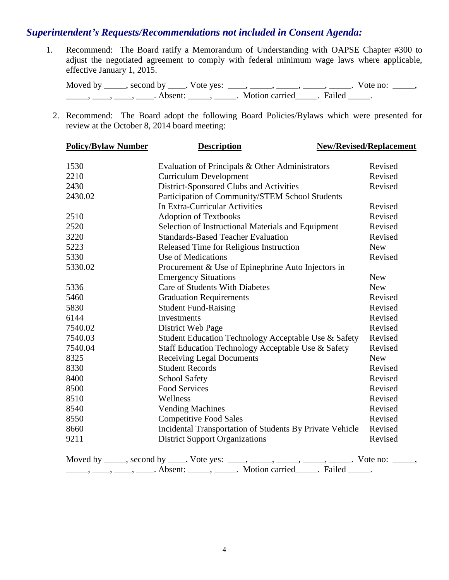#### *Superintendent's Requests/Recommendations not included in Consent Agenda:*

1. Recommend: The Board ratify a Memorandum of Understanding with OAPSE Chapter #300 to adjust the negotiated agreement to comply with federal minimum wage laws where applicable, effective January 1, 2015.

Moved by \_\_\_\_\_, second by \_\_\_\_\_. Vote yes:  $\frac{1}{\sqrt{2}}$ , \_\_\_\_, \_\_\_\_\_, \_\_\_\_\_, \_\_\_\_\_. Vote no: \_\_\_\_\_, \_\_\_\_\_\_, \_\_\_\_\_, \_\_\_\_\_. Absent: \_\_\_\_\_\_, \_\_\_\_\_\_. Motion carried \_\_\_\_\_. Failed \_\_\_\_\_.

2. Recommend: The Board adopt the following Board Policies/Bylaws which were presented for review at the October 8, 2014 board meeting:

| <b>Policy/Bylaw Number</b> | <b>Description</b>                                                                                                                                             | <b>New/Revised/Replacement</b> |
|----------------------------|----------------------------------------------------------------------------------------------------------------------------------------------------------------|--------------------------------|
| 1530                       | Evaluation of Principals & Other Administrators                                                                                                                | Revised                        |
| 2210                       | <b>Curriculum Development</b>                                                                                                                                  | Revised                        |
| 2430                       | District-Sponsored Clubs and Activities                                                                                                                        | Revised                        |
| 2430.02                    | Participation of Community/STEM School Students                                                                                                                |                                |
|                            | In Extra-Curricular Activities                                                                                                                                 | Revised                        |
| 2510                       | <b>Adoption of Textbooks</b>                                                                                                                                   | Revised                        |
| 2520                       | Selection of Instructional Materials and Equipment                                                                                                             | Revised                        |
| 3220                       | <b>Standards-Based Teacher Evaluation</b>                                                                                                                      | Revised                        |
| 5223                       | Released Time for Religious Instruction                                                                                                                        | <b>New</b>                     |
| 5330                       | Use of Medications                                                                                                                                             | Revised                        |
| 5330.02                    | Procurement & Use of Epinephrine Auto Injectors in                                                                                                             |                                |
|                            | <b>Emergency Situations</b>                                                                                                                                    | <b>New</b>                     |
| 5336                       | Care of Students With Diabetes                                                                                                                                 | <b>New</b>                     |
| 5460                       | <b>Graduation Requirements</b>                                                                                                                                 | Revised                        |
| 5830                       | <b>Student Fund-Raising</b>                                                                                                                                    | Revised                        |
| 6144                       | Investments                                                                                                                                                    | Revised                        |
| 7540.02                    | District Web Page                                                                                                                                              | Revised                        |
| 7540.03                    | Student Education Technology Acceptable Use & Safety                                                                                                           | Revised                        |
| 7540.04                    | Staff Education Technology Acceptable Use & Safety                                                                                                             | Revised                        |
| 8325                       | <b>Receiving Legal Documents</b>                                                                                                                               | <b>New</b>                     |
| 8330                       | <b>Student Records</b>                                                                                                                                         | Revised                        |
| 8400                       | <b>School Safety</b>                                                                                                                                           | Revised                        |
| 8500                       | <b>Food Services</b>                                                                                                                                           | Revised                        |
| 8510                       | Wellness                                                                                                                                                       | Revised                        |
| 8540                       | <b>Vending Machines</b>                                                                                                                                        | Revised                        |
| 8550                       | <b>Competitive Food Sales</b>                                                                                                                                  | Revised                        |
| 8660                       | Incidental Transportation of Students By Private Vehicle                                                                                                       | Revised                        |
| 9211                       | <b>District Support Organizations</b>                                                                                                                          | Revised                        |
|                            | Moved by ____, second by ____. Vote yes: ____, ____, ____, ____, ____, _____. Vote no: _____, _____, Absent: _____, _____. Motion carried _____. Failed _____. |                                |
|                            |                                                                                                                                                                |                                |